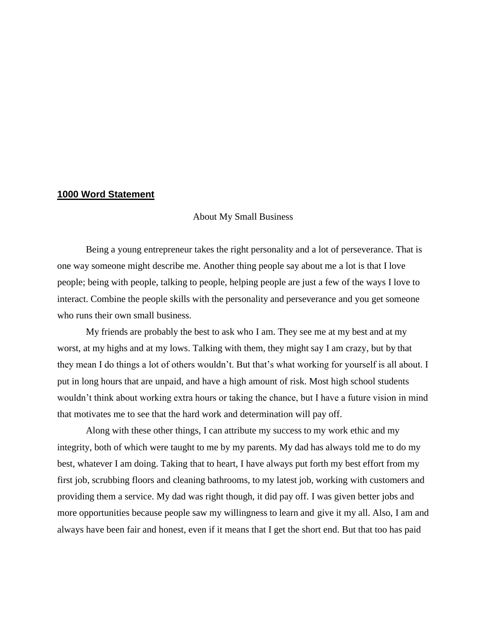## **1000 Word Statement**

About My Small Business

Being a young entrepreneur takes the right personality and a lot of perseverance. That is one way someone might describe me. Another thing people say about me a lot is that I love people; being with people, talking to people, helping people are just a few of the ways I love to interact. Combine the people skills with the personality and perseverance and you get someone who runs their own small business.

My friends are probably the best to ask who I am. They see me at my best and at my worst, at my highs and at my lows. Talking with them, they might say I am crazy, but by that they mean I do things a lot of others wouldn't. But that's what working for yourself is all about. I put in long hours that are unpaid, and have a high amount of risk. Most high school students wouldn't think about working extra hours or taking the chance, but I have a future vision in mind that motivates me to see that the hard work and determination will pay off.

Along with these other things, I can attribute my success to my work ethic and my integrity, both of which were taught to me by my parents. My dad has always told me to do my best, whatever I am doing. Taking that to heart, I have always put forth my best effort from my first job, scrubbing floors and cleaning bathrooms, to my latest job, working with customers and providing them a service. My dad was right though, it did pay off. I was given better jobs and more opportunities because people saw my willingness to learn and give it my all. Also, I am and always have been fair and honest, even if it means that I get the short end. But that too has paid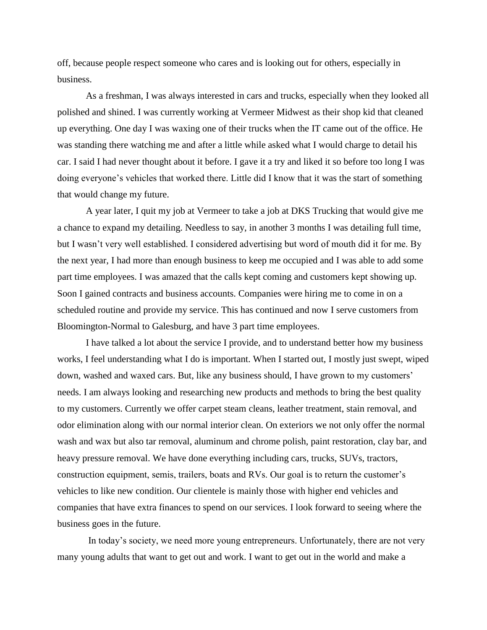off, because people respect someone who cares and is looking out for others, especially in business.

As a freshman, I was always interested in cars and trucks, especially when they looked all polished and shined. I was currently working at Vermeer Midwest as their shop kid that cleaned up everything. One day I was waxing one of their trucks when the IT came out of the office. He was standing there watching me and after a little while asked what I would charge to detail his car. I said I had never thought about it before. I gave it a try and liked it so before too long I was doing everyone's vehicles that worked there. Little did I know that it was the start of something that would change my future.

A year later, I quit my job at Vermeer to take a job at DKS Trucking that would give me a chance to expand my detailing. Needless to say, in another 3 months I was detailing full time, but I wasn't very well established. I considered advertising but word of mouth did it for me. By the next year, I had more than enough business to keep me occupied and I was able to add some part time employees. I was amazed that the calls kept coming and customers kept showing up. Soon I gained contracts and business accounts. Companies were hiring me to come in on a scheduled routine and provide my service. This has continued and now I serve customers from Bloomington-Normal to Galesburg, and have 3 part time employees.

I have talked a lot about the service I provide, and to understand better how my business works, I feel understanding what I do is important. When I started out, I mostly just swept, wiped down, washed and waxed cars. But, like any business should, I have grown to my customers' needs. I am always looking and researching new products and methods to bring the best quality to my customers. Currently we offer carpet steam cleans, leather treatment, stain removal, and odor elimination along with our normal interior clean. On exteriors we not only offer the normal wash and wax but also tar removal, aluminum and chrome polish, paint restoration, clay bar, and heavy pressure removal. We have done everything including cars, trucks, SUVs, tractors, construction equipment, semis, trailers, boats and RVs. Our goal is to return the customer's vehicles to like new condition. Our clientele is mainly those with higher end vehicles and companies that have extra finances to spend on our services. I look forward to seeing where the business goes in the future.

In today's society, we need more young entrepreneurs. Unfortunately, there are not very many young adults that want to get out and work. I want to get out in the world and make a